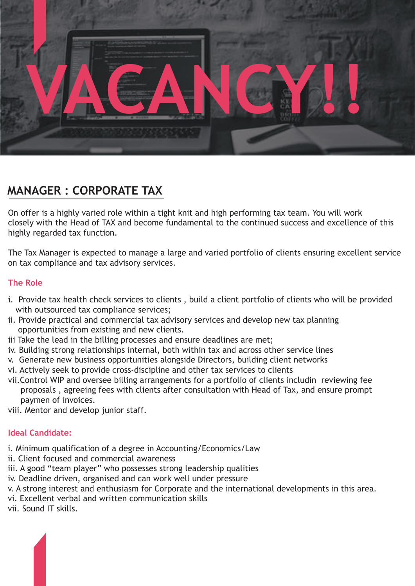

# **MANAGER : CORPORATE TAX**

On offer is a highly varied role within a tight knit and high performing tax team. You will work closely with the Head of TAX and become fundamental to the continued success and excellence of this highly regarded tax function.

The Tax Manager is expected to manage a large and varied portfolio of clients ensuring excellent service on tax compliance and tax advisory services.

## **The Role**

- i. Provide tax health check services to clients , build a client portfolio of clients who will be provided with outsourced tax compliance services;
- ii. Provide practical and commercial tax advisory services and develop new tax planning opportunities from existing and new clients.
- iii Take the lead in the billing processes and ensure deadlines are met;
- iv. Building strong relationships internal, both within tax and across other service lines
- v. Generate new business opportunities alongside Directors, building client networks
- vi. Actively seek to provide cross-discipline and other tax services to clients
- vii.Control WIP and oversee billing arrangements for a portfolio of clients includin reviewing fee proposals , agreeing fees with clients after consultation with Head of Tax, and ensure prompt paymen of invoices.
- viii. Mentor and develop junior staff.

### **Ideal Candidate:**

- i. Minimum qualification of a degree in Accounting/Economics/Law
- ii. Client focused and commercial awareness
- iii. A good "team player" who possesses strong leadership qualities
- iv. Deadline driven, organised and can work well under pressure
- v. A strong interest and enthusiasm for Corporate and the international developments in this area.
- vi. Excellent verbal and written communication skills
- vii. Sound IT skills.